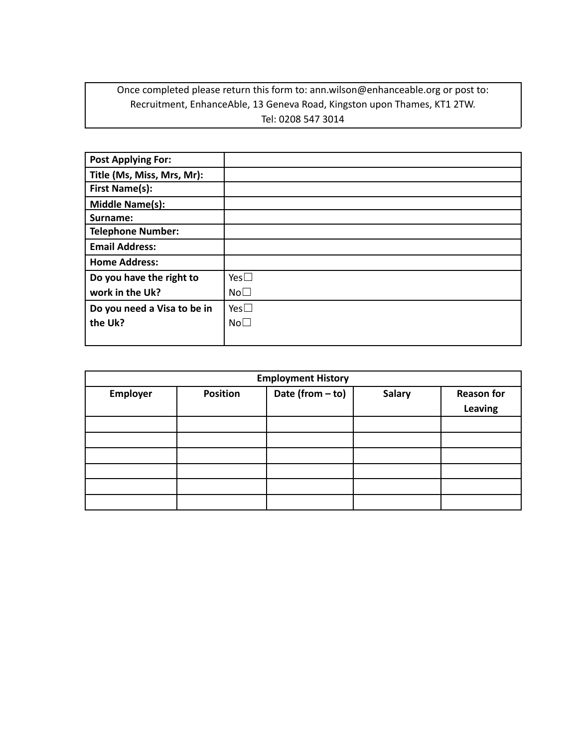## Once completed please return this form to: ann.wilson@enhanceable.org or post to: Recruitment, EnhanceAble, 13 Geneva Road, Kingston upon Thames, KT1 2TW. Tel: 0208 547 3014

| <b>Post Applying For:</b>   |                 |
|-----------------------------|-----------------|
| Title (Ms, Miss, Mrs, Mr):  |                 |
| <b>First Name(s):</b>       |                 |
| <b>Middle Name(s):</b>      |                 |
| Surname:                    |                 |
| <b>Telephone Number:</b>    |                 |
| <b>Email Address:</b>       |                 |
| <b>Home Address:</b>        |                 |
| Do you have the right to    | Yes $\Box$      |
| work in the Uk?             | No <sub>1</sub> |
| Do you need a Visa to be in | Yes $\Box$      |
| the Uk?                     | No <sub>1</sub> |
|                             |                 |

| <b>Employment History</b> |                 |                    |               |                              |
|---------------------------|-----------------|--------------------|---------------|------------------------------|
| Employer                  | <b>Position</b> | Date (from $-$ to) | <b>Salary</b> | <b>Reason for</b><br>Leaving |
|                           |                 |                    |               |                              |
|                           |                 |                    |               |                              |
|                           |                 |                    |               |                              |
|                           |                 |                    |               |                              |
|                           |                 |                    |               |                              |
|                           |                 |                    |               |                              |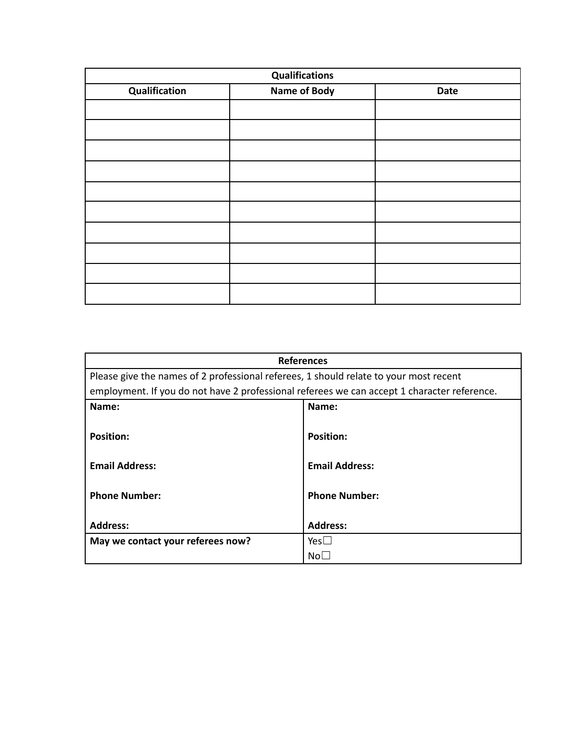| <b>Qualifications</b> |                     |      |
|-----------------------|---------------------|------|
| Qualification         | <b>Name of Body</b> | Date |
|                       |                     |      |
|                       |                     |      |
|                       |                     |      |
|                       |                     |      |
|                       |                     |      |
|                       |                     |      |
|                       |                     |      |
|                       |                     |      |
|                       |                     |      |
|                       |                     |      |
|                       |                     |      |

| <b>References</b>                                                                           |                       |  |
|---------------------------------------------------------------------------------------------|-----------------------|--|
| Please give the names of 2 professional referees, 1 should relate to your most recent       |                       |  |
| employment. If you do not have 2 professional referees we can accept 1 character reference. |                       |  |
| Name:                                                                                       | Name:                 |  |
| <b>Position:</b>                                                                            | <b>Position:</b>      |  |
| <b>Email Address:</b>                                                                       | <b>Email Address:</b> |  |
|                                                                                             |                       |  |
| <b>Phone Number:</b>                                                                        | <b>Phone Number:</b>  |  |
|                                                                                             |                       |  |
| <b>Address:</b>                                                                             | <b>Address:</b>       |  |
| May we contact your referees now?                                                           | $Yes \Box$            |  |
|                                                                                             | No∟                   |  |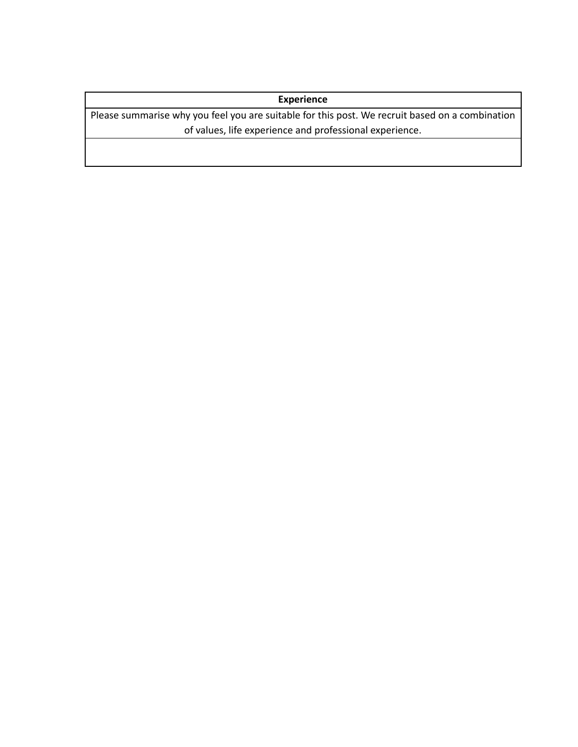## **Experience**

Please summarise why you feel you are suitable for this post. We recruit based on a combination of values, life experience and professional experience.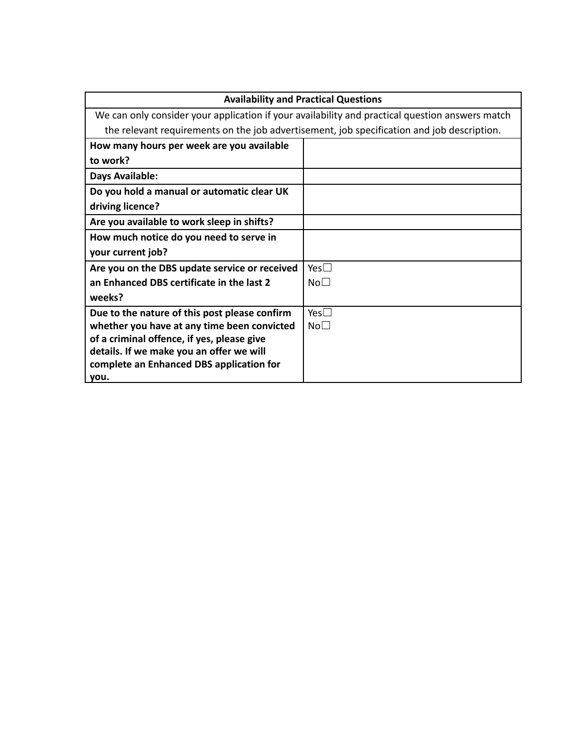| <b>Availability and Practical Questions</b>                                                     |                 |
|-------------------------------------------------------------------------------------------------|-----------------|
| We can only consider your application if your availability and practical question answers match |                 |
| the relevant requirements on the job advertisement, job specification and job description.      |                 |
| How many hours per week are you available                                                       |                 |
| to work?                                                                                        |                 |
| Days Available:                                                                                 |                 |
| Do you hold a manual or automatic clear UK                                                      |                 |
| driving licence?                                                                                |                 |
| Are you available to work sleep in shifts?                                                      |                 |
| How much notice do you need to serve in                                                         |                 |
| your current job?                                                                               |                 |
| Are you on the DBS update service or received                                                   | Yes $\square$   |
| an Enhanced DBS certificate in the last 2                                                       | No <sub>1</sub> |
| weeks?                                                                                          |                 |
| Due to the nature of this post please confirm                                                   | Yes $\square$   |
| whether you have at any time been convicted                                                     | No <sub>1</sub> |
| of a criminal offence, if yes, please give                                                      |                 |
| details. If we make you an offer we will                                                        |                 |
| complete an Enhanced DBS application for<br>you.                                                |                 |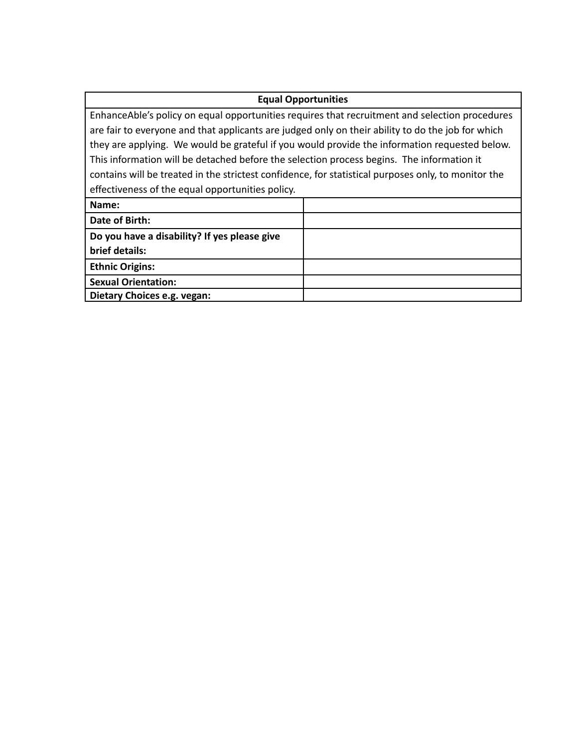## **Equal Opportunities**

EnhanceAble's policy on equal opportunities requires that recruitment and selection procedures are fair to everyone and that applicants are judged only on their ability to do the job for which they are applying. We would be grateful if you would provide the information requested below. This information will be detached before the selection process begins. The information it contains will be treated in the strictest confidence, for statistical purposes only, to monitor the effectiveness of the equal opportunities policy.

| Name:                                        |  |
|----------------------------------------------|--|
| Date of Birth:                               |  |
| Do you have a disability? If yes please give |  |
| brief details:                               |  |
| <b>Ethnic Origins:</b>                       |  |
| <b>Sexual Orientation:</b>                   |  |
| Dietary Choices e.g. vegan:                  |  |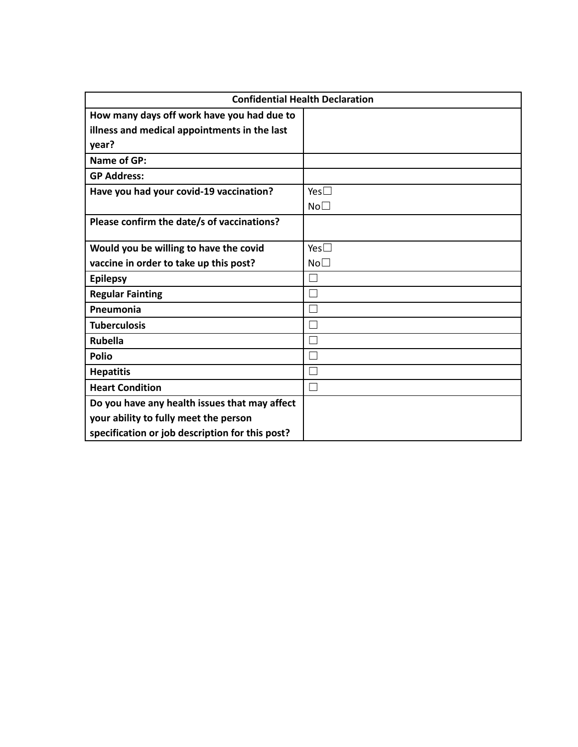| <b>Confidential Health Declaration</b>          |                 |
|-------------------------------------------------|-----------------|
| How many days off work have you had due to      |                 |
| illness and medical appointments in the last    |                 |
| year?                                           |                 |
| <b>Name of GP:</b>                              |                 |
| <b>GP Address:</b>                              |                 |
| Have you had your covid-19 vaccination?         | Yes $\square$   |
|                                                 | No <sub>1</sub> |
| Please confirm the date/s of vaccinations?      |                 |
|                                                 |                 |
| Would you be willing to have the covid          | Yes $\square$   |
| vaccine in order to take up this post?          | No <sub>1</sub> |
| <b>Epilepsy</b>                                 | П               |
| <b>Regular Fainting</b>                         |                 |
| Pneumonia                                       |                 |
| <b>Tuberculosis</b>                             |                 |
| <b>Rubella</b>                                  |                 |
| <b>Polio</b>                                    |                 |
| <b>Hepatitis</b>                                |                 |
| <b>Heart Condition</b>                          | $\mathcal{L}$   |
| Do you have any health issues that may affect   |                 |
| your ability to fully meet the person           |                 |
| specification or job description for this post? |                 |